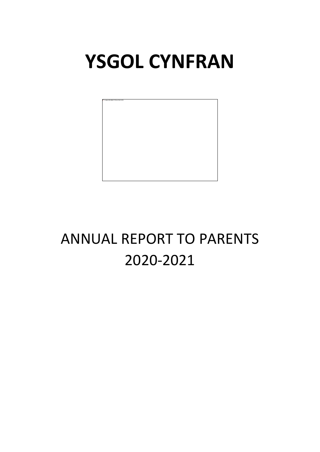# **YSGOL CYNFRAN**



# ANNUAL REPORT TO PARENTS 2020-2021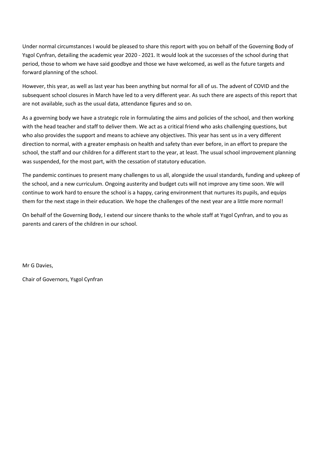Under normal circumstances I would be pleased to share this report with you on behalf of the Governing Body of Ysgol Cynfran, detailing the academic year 2020 - 2021. It would look at the successes of the school during that period, those to whom we have said goodbye and those we have welcomed, as well as the future targets and forward planning of the school.

However, this year, as well as last year has been anything but normal for all of us. The advent of COVID and the subsequent school closures in March have led to a very different year. As such there are aspects of this report that are not available, such as the usual data, attendance figures and so on.

As a governing body we have a strategic role in formulating the aims and policies of the school, and then working with the head teacher and staff to deliver them. We act as a critical friend who asks challenging questions, but who also provides the support and means to achieve any objectives. This year has sent us in a very different direction to normal, with a greater emphasis on health and safety than ever before, in an effort to prepare the school, the staff and our children for a different start to the year, at least. The usual school improvement planning was suspended, for the most part, with the cessation of statutory education.

The pandemic continues to present many challenges to us all, alongside the usual standards, funding and upkeep of the school, and a new curriculum. Ongoing austerity and budget cuts will not improve any time soon. We will continue to work hard to ensure the school is a happy, caring environment that nurtures its pupils, and equips them for the next stage in their education. We hope the challenges of the next year are a little more normal!

On behalf of the Governing Body, I extend our sincere thanks to the whole staff at Ysgol Cynfran, and to you as parents and carers of the children in our school.

Mr G Davies,

Chair of Governors, Ysgol Cynfran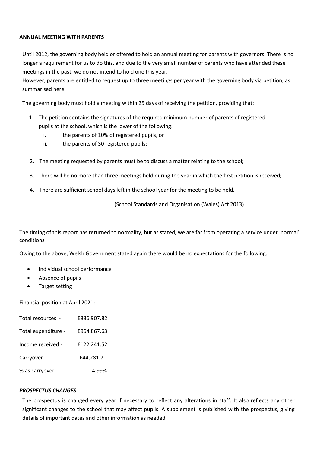# **ANNUAL MEETING WITH PARENTS**

Until 2012, the governing body held or offered to hold an annual meeting for parents with governors. There is no longer a requirement for us to do this, and due to the very small number of parents who have attended these meetings in the past, we do not intend to hold one this year.

However, parents are entitled to request up to three meetings per year with the governing body via petition, as summarised here:

The governing body must hold a meeting within 25 days of receiving the petition, providing that:

- 1. The petition contains the signatures of the required minimum number of parents of registered pupils at the school, which is the lower of the following:
	- i. the parents of 10% of registered pupils, or
	- ii. the parents of 30 registered pupils;
- 2. The meeting requested by parents must be to discuss a matter relating to the school;
- 3. There will be no more than three meetings held during the year in which the first petition is received;
- 4. There are sufficient school days left in the school year for the meeting to be held.

(School Standards and Organisation (Wales) Act 2013)

The timing of this report has returned to normality, but as stated, we are far from operating a service under 'normal' conditions

Owing to the above, Welsh Government stated again there would be no expectations for the following:

- Individual school performance
- Absence of pupils
- Target setting

Financial position at April 2021:

| Total resources -   | £886,907.82 |
|---------------------|-------------|
| Total expenditure - | £964,867.63 |
| Income received -   | £122,241.52 |
| Carryover -         | £44,281.71  |
| % as carryover -    | 4.99%       |

# *PROSPECTUS CHANGES*

The prospectus is changed every year if necessary to reflect any alterations in staff. It also reflects any other significant changes to the school that may affect pupils. A supplement is published with the prospectus, giving details of important dates and other information as needed.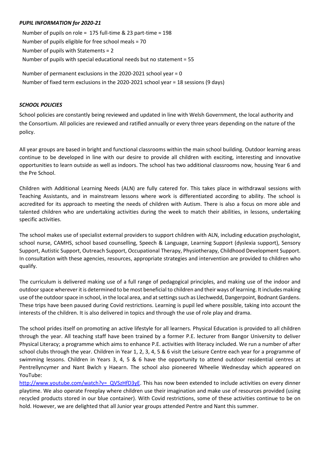# *PUPIL INFORMATION for 2020-21*

Number of pupils on role = 175 full-time & 23 part-time = 198 Number of pupils eligible for free school meals = 70 Number of pupils with Statements = 2 Number of pupils with special educational needs but no statement = 55

Number of permanent exclusions in the 2020-2021 school year = 0 Number of fixed term exclusions in the 2020-2021 school year = 18 sessions (9 days)

### *SCHOOL POLICIES*

School policies are constantly being reviewed and updated in line with Welsh Government, the local authority and the Consortium. All policies are reviewed and ratified annually or every three years depending on the nature of the policy.

All year groups are based in bright and functional classrooms within the main school building. Outdoor learning areas continue to be developed in line with our desire to provide all children with exciting, interesting and innovative opportunities to learn outside as well as indoors. The school has two additional classrooms now, housing Year 6 and the Pre School.

Children with Additional Learning Needs (ALN) are fully catered for. This takes place in withdrawal sessions with Teaching Assistants, and in mainstream lessons where work is differentiated according to ability. The school is accredited for its approach to meeting the needs of children with Autism. There is also a focus on more able and talented children who are undertaking activities during the week to match their abilities, in lessons, undertaking specific activities.

The school makes use of specialist external providers to support children with ALN, including education psychologist, school nurse, CAMHS, school based counselling, Speech & Language, Learning Support (dyslexia support), Sensory Support, Autistic Support, Outreach Support, Occupational Therapy, Physiotherapy, Childhood Development Support. In consultation with these agencies, resources, appropriate strategies and intervention are provided to children who qualify.

The curriculum is delivered making use of a full range of pedagogical principles, and making use of the indoor and outdoor space wherever it is determined to be most beneficial to children and their ways of learning. It includes making use of the outdoor space in school, in the local area, and at settings such as Llechwedd, Dangerpoint, Bodnant Gardens. These trips have been paused during Covid restrictions. Learning is pupil led where possible, taking into account the interests of the children. It is also delivered in topics and through the use of role play and drama.

The school prides itself on promoting an active lifestyle for all learners. Physical Education is provided to all children through the year. All teaching staff have been trained by a former P.E. lecturer from Bangor University to deliver Physical Literacy; a programme which aims to enhance P.E. activities with literacy included. We run a number of after school clubs through the year. Children in Year 1, 2, 3, 4, 5 & 6 visit the Leisure Centre each year for a programme of swimming lessons. Children in Years 3, 4, 5 & 6 have the opportunity to attend outdoor residential centres at Pentrellyncymer and Nant Bwlch y Haearn. The school also pioneered Wheelie Wednesday which appeared on YouTube:

[http://www.youtube.com/watch?v=\\_QVSzHfD3yE.](http://www.youtube.com/watch?v=_QVSzHfD3yE) This has now been extended to include activities on every dinner playtime. We also operate Freeplay where children use their imagination and make use of resources provided (using recycled products stored in our blue container). With Covid restrictions, some of these activities continue to be on hold. However, we are delighted that all Junior year groups attended Pentre and Nant this summer.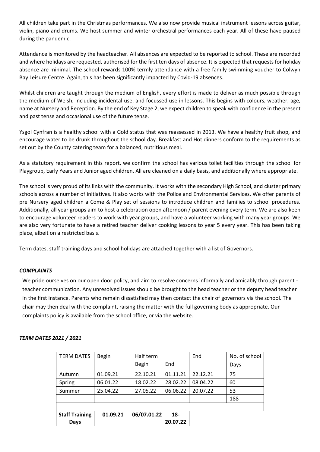All children take part in the Christmas performances. We also now provide musical instrument lessons across guitar, violin, piano and drums. We host summer and winter orchestral performances each year. All of these have paused during the pandemic.

Attendance is monitored by the headteacher. All absences are expected to be reported to school. These are recorded and where holidays are requested, authorised for the first ten days of absence. It is expected that requests for holiday absence are minimal. The school rewards 100% termly attendance with a free family swimming voucher to Colwyn Bay Leisure Centre. Again, this has been significantly impacted by Covid-19 absences.

Whilst children are taught through the medium of English, every effort is made to deliver as much possible through the medium of Welsh, including incidental use, and focussed use in lessons. This begins with colours, weather, age, name at Nursery and Reception. By the end of Key Stage 2, we expect children to speak with confidence in the present and past tense and occasional use of the future tense.

Ysgol Cynfran is a healthy school with a Gold status that was reassessed in 2013. We have a healthy fruit shop, and encourage water to be drunk throughout the school day. Breakfast and Hot dinners conform to the requirements as set out by the County catering team for a balanced, nutritious meal.

As a statutory requirement in this report, we confirm the school has various toilet facilities through the school for Playgroup, Early Years and Junior aged children. All are cleaned on a daily basis, and additionally where appropriate.

The school is very proud of its links with the community. It works with the secondary High School, and cluster primary schools across a number of initiatives. It also works with the Police and Environmental Services. We offer parents of pre Nursery aged children a Come & Play set of sessions to introduce children and families to school procedures. Additionally, all year groups aim to host a celebration open afternoon / parent evening every term. We are also keen to encourage volunteer readers to work with year groups, and have a volunteer working with many year groups. We are also very fortunate to have a retired teacher deliver cooking lessons to year 5 every year. This has been taking place, albeit on a restricted basis.

Term dates, staff training days and school holidays are attached together with a list of Governors.

# *COMPLAINTS*

We pride ourselves on our open door policy, and aim to resolve concerns informally and amicably through parent teacher communication. Any unresolved issues should be brought to the head teacher or the deputy head teacher in the first instance. Parents who remain dissatisfied may then contact the chair of governors via the school. The chair may then deal with the complaint, raising the matter with the full governing body as appropriate. Our complaints policy is available from the school office, or via the website.

# *TERM DATES 2021 / 2021*

| <b>TERM DATES</b>     | <b>Begin</b> | Half term    |          | End      | No. of school |
|-----------------------|--------------|--------------|----------|----------|---------------|
|                       |              | <b>Begin</b> | End      |          | Days          |
| Autumn                | 01.09.21     | 22.10.21     | 01.11.21 | 22.12.21 | 75            |
| Spring                | 06.01.22     | 18.02.22     | 28.02.22 | 08.04.22 | 60            |
| Summer                | 25.04.22     | 27.05.22     | 06.06.22 | 20.07.22 | 53            |
|                       |              |              |          |          | 188           |
|                       |              |              |          |          |               |
| <b>Staff Training</b> | 01.09.21     | 06/07.01.22  | $18 -$   |          |               |
| <b>Days</b>           |              |              | 20.07.22 |          |               |